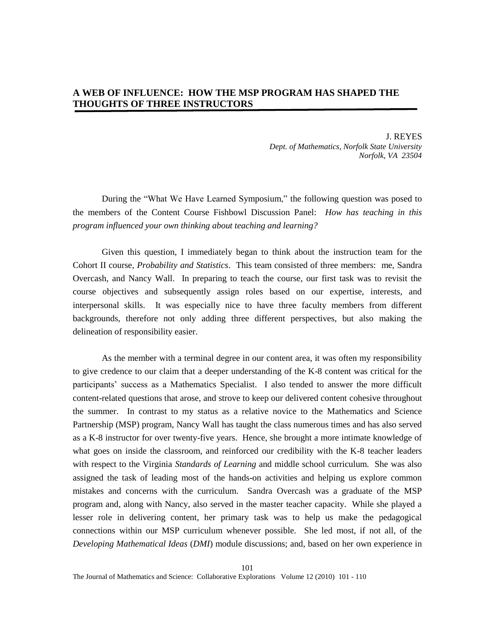# **A WEB OF INFLUENCE: HOW THE MSP PROGRAM HAS SHAPED THE THOUGHTS OF THREE INSTRUCTORS**

J. REYES *Dept. of Mathematics, Norfolk State University Norfolk, VA 23504*

During the "What We Have Learned Symposium," the following question was posed to the members of the Content Course Fishbowl Discussion Panel: *How has teaching in this program influenced your own thinking about teaching and learning?* 

Given this question, I immediately began to think about the instruction team for the Cohort II course, *Probability and Statistics*. This team consisted of three members: me, Sandra Overcash, and Nancy Wall. In preparing to teach the course, our first task was to revisit the course objectives and subsequently assign roles based on our expertise, interests, and interpersonal skills. It was especially nice to have three faculty members from different backgrounds, therefore not only adding three different perspectives, but also making the delineation of responsibility easier.

As the member with a terminal degree in our content area, it was often my responsibility to give credence to our claim that a deeper understanding of the K-8 content was critical for the participants' success as a Mathematics Specialist. I also tended to answer the more difficult content-related questions that arose, and strove to keep our delivered content cohesive throughout the summer. In contrast to my status as a relative novice to the Mathematics and Science Partnership (MSP) program, Nancy Wall has taught the class numerous times and has also served as a K-8 instructor for over twenty-five years. Hence, she brought a more intimate knowledge of what goes on inside the classroom, and reinforced our credibility with the K-8 teacher leaders with respect to the Virginia *Standards of Learning* and middle school curriculum. She was also assigned the task of leading most of the hands-on activities and helping us explore common mistakes and concerns with the curriculum. Sandra Overcash was a graduate of the MSP program and, along with Nancy, also served in the master teacher capacity. While she played a lesser role in delivering content, her primary task was to help us make the pedagogical connections within our MSP curriculum whenever possible. She led most, if not all, of the *Developing Mathematical Ideas* (*DMI*) module discussions; and, based on her own experience in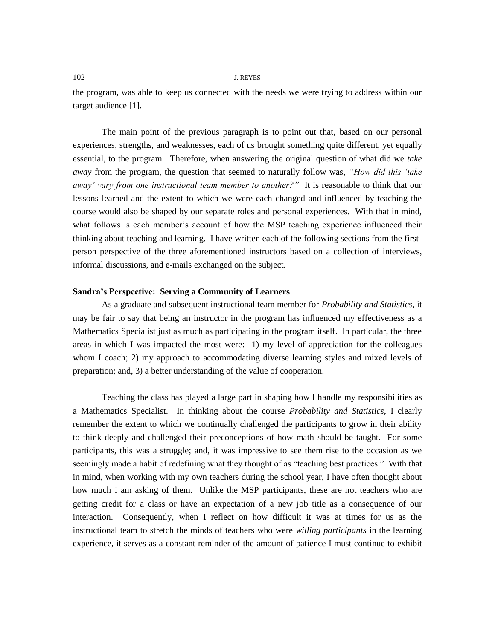the program, was able to keep us connected with the needs we were trying to address within our target audience [1].

The main point of the previous paragraph is to point out that, based on our personal experiences, strengths, and weaknesses, each of us brought something quite different, yet equally essential, to the program. Therefore, when answering the original question of what did we *take away* from the program, the question that seemed to naturally follow was, *"How did this "take away" vary from one instructional team member to another?"* It is reasonable to think that our lessons learned and the extent to which we were each changed and influenced by teaching the course would also be shaped by our separate roles and personal experiences. With that in mind, what follows is each member's account of how the MSP teaching experience influenced their thinking about teaching and learning. I have written each of the following sections from the firstperson perspective of the three aforementioned instructors based on a collection of interviews, informal discussions, and e-mails exchanged on the subject.

# **Sandra's Perspective: Serving a Community of Learners**

As a graduate and subsequent instructional team member for *Probability and Statistics*, it may be fair to say that being an instructor in the program has influenced my effectiveness as a Mathematics Specialist just as much as participating in the program itself. In particular, the three areas in which I was impacted the most were: 1) my level of appreciation for the colleagues whom I coach; 2) my approach to accommodating diverse learning styles and mixed levels of preparation; and, 3) a better understanding of the value of cooperation.

Teaching the class has played a large part in shaping how I handle my responsibilities as a Mathematics Specialist. In thinking about the course *Probability and Statistics*, I clearly remember the extent to which we continually challenged the participants to grow in their ability to think deeply and challenged their preconceptions of how math should be taught. For some participants, this was a struggle; and, it was impressive to see them rise to the occasion as we seemingly made a habit of redefining what they thought of as "teaching best practices." With that in mind, when working with my own teachers during the school year, I have often thought about how much I am asking of them. Unlike the MSP participants, these are not teachers who are getting credit for a class or have an expectation of a new job title as a consequence of our interaction. Consequently, when I reflect on how difficult it was at times for us as the instructional team to stretch the minds of teachers who were *willing participants* in the learning experience, it serves as a constant reminder of the amount of patience I must continue to exhibit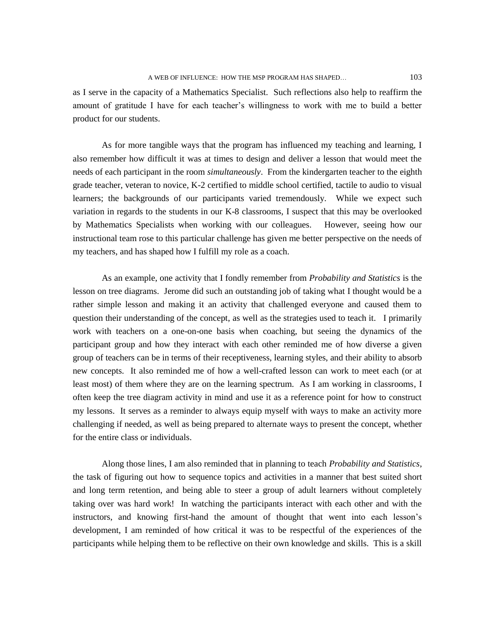as I serve in the capacity of a Mathematics Specialist. Such reflections also help to reaffirm the amount of gratitude I have for each teacher's willingness to work with me to build a better product for our students.

As for more tangible ways that the program has influenced my teaching and learning, I also remember how difficult it was at times to design and deliver a lesson that would meet the needs of each participant in the room *simultaneously*. From the kindergarten teacher to the eighth grade teacher, veteran to novice, K-2 certified to middle school certified, tactile to audio to visual learners; the backgrounds of our participants varied tremendously. While we expect such variation in regards to the students in our K-8 classrooms, I suspect that this may be overlooked by Mathematics Specialists when working with our colleagues. However, seeing how our instructional team rose to this particular challenge has given me better perspective on the needs of my teachers, and has shaped how I fulfill my role as a coach.

As an example, one activity that I fondly remember from *Probability and Statistics* is the lesson on tree diagrams. Jerome did such an outstanding job of taking what I thought would be a rather simple lesson and making it an activity that challenged everyone and caused them to question their understanding of the concept, as well as the strategies used to teach it. I primarily work with teachers on a one-on-one basis when coaching, but seeing the dynamics of the participant group and how they interact with each other reminded me of how diverse a given group of teachers can be in terms of their receptiveness, learning styles, and their ability to absorb new concepts. It also reminded me of how a well-crafted lesson can work to meet each (or at least most) of them where they are on the learning spectrum. As I am working in classrooms, I often keep the tree diagram activity in mind and use it as a reference point for how to construct my lessons. It serves as a reminder to always equip myself with ways to make an activity more challenging if needed, as well as being prepared to alternate ways to present the concept, whether for the entire class or individuals.

Along those lines, I am also reminded that in planning to teach *Probability and Statistics*, the task of figuring out how to sequence topics and activities in a manner that best suited short and long term retention, and being able to steer a group of adult learners without completely taking over was hard work! In watching the participants interact with each other and with the instructors, and knowing first-hand the amount of thought that went into each lesson's development, I am reminded of how critical it was to be respectful of the experiences of the participants while helping them to be reflective on their own knowledge and skills. This is a skill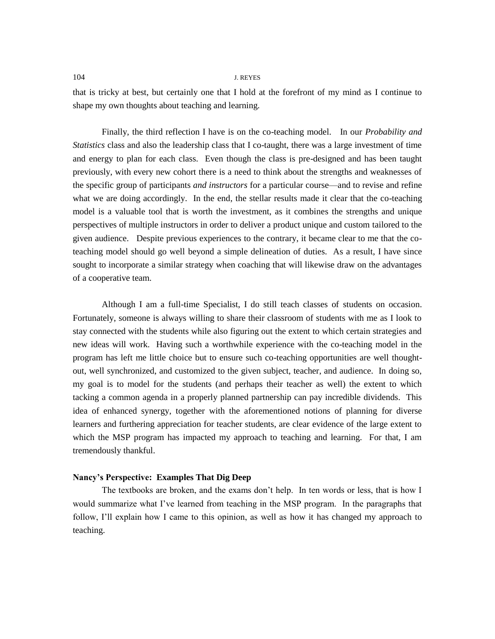that is tricky at best, but certainly one that I hold at the forefront of my mind as I continue to shape my own thoughts about teaching and learning.

Finally, the third reflection I have is on the co-teaching model. In our *Probability and Statistics* class and also the leadership class that I co-taught, there was a large investment of time and energy to plan for each class. Even though the class is pre-designed and has been taught previously, with every new cohort there is a need to think about the strengths and weaknesses of the specific group of participants *and instructors* for a particular course—and to revise and refine what we are doing accordingly. In the end, the stellar results made it clear that the co-teaching model is a valuable tool that is worth the investment, as it combines the strengths and unique perspectives of multiple instructors in order to deliver a product unique and custom tailored to the given audience. Despite previous experiences to the contrary, it became clear to me that the coteaching model should go well beyond a simple delineation of duties. As a result, I have since sought to incorporate a similar strategy when coaching that will likewise draw on the advantages of a cooperative team.

Although I am a full-time Specialist, I do still teach classes of students on occasion. Fortunately, someone is always willing to share their classroom of students with me as I look to stay connected with the students while also figuring out the extent to which certain strategies and new ideas will work. Having such a worthwhile experience with the co-teaching model in the program has left me little choice but to ensure such co-teaching opportunities are well thoughtout, well synchronized, and customized to the given subject, teacher, and audience. In doing so, my goal is to model for the students (and perhaps their teacher as well) the extent to which tacking a common agenda in a properly planned partnership can pay incredible dividends. This idea of enhanced synergy, together with the aforementioned notions of planning for diverse learners and furthering appreciation for teacher students, are clear evidence of the large extent to which the MSP program has impacted my approach to teaching and learning. For that, I am tremendously thankful.

# **Nancy's Perspective: Examples That Dig Deep**

The textbooks are broken, and the exams don't help. In ten words or less, that is how I would summarize what I've learned from teaching in the MSP program. In the paragraphs that follow, I'll explain how I came to this opinion, as well as how it has changed my approach to teaching.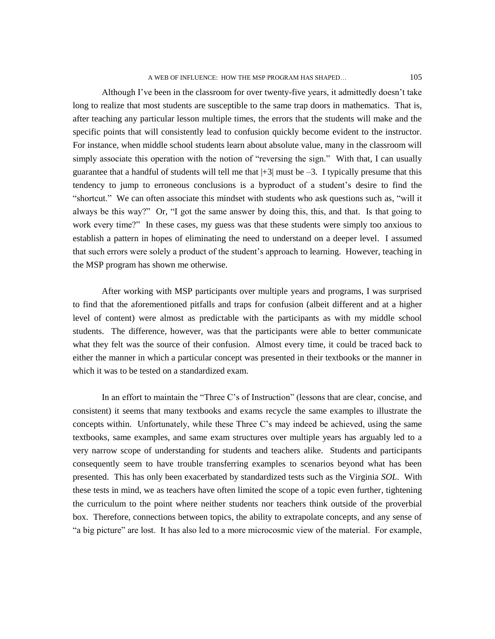Although I've been in the classroom for over twenty-five years, it admittedly doesn't take long to realize that most students are susceptible to the same trap doors in mathematics. That is, after teaching any particular lesson multiple times, the errors that the students will make and the specific points that will consistently lead to confusion quickly become evident to the instructor. For instance, when middle school students learn about absolute value, many in the classroom will simply associate this operation with the notion of "reversing the sign." With that, I can usually guarantee that a handful of students will tell me that  $|+3|$  must be  $-3$ . I typically presume that this tendency to jump to erroneous conclusions is a byproduct of a student's desire to find the ―shortcut.‖ We can often associate this mindset with students who ask questions such as, ―will it always be this way?" Or, "I got the same answer by doing this, this, and that. Is that going to work every time?" In these cases, my guess was that these students were simply too anxious to establish a pattern in hopes of eliminating the need to understand on a deeper level. I assumed that such errors were solely a product of the student's approach to learning. However, teaching in the MSP program has shown me otherwise.

After working with MSP participants over multiple years and programs, I was surprised to find that the aforementioned pitfalls and traps for confusion (albeit different and at a higher level of content) were almost as predictable with the participants as with my middle school students. The difference, however, was that the participants were able to better communicate what they felt was the source of their confusion. Almost every time, it could be traced back to either the manner in which a particular concept was presented in their textbooks or the manner in which it was to be tested on a standardized exam.

In an effort to maintain the "Three C's of Instruction" (lessons that are clear, concise, and consistent) it seems that many textbooks and exams recycle the same examples to illustrate the concepts within. Unfortunately, while these Three C's may indeed be achieved, using the same textbooks, same examples, and same exam structures over multiple years has arguably led to a very narrow scope of understanding for students and teachers alike. Students and participants consequently seem to have trouble transferring examples to scenarios beyond what has been presented. This has only been exacerbated by standardized tests such as the Virginia *SOL*. With these tests in mind, we as teachers have often limited the scope of a topic even further, tightening the curriculum to the point where neither students nor teachers think outside of the proverbial box. Therefore, connections between topics, the ability to extrapolate concepts, and any sense of ―a big picture‖ are lost. It has also led to a more microcosmic view of the material. For example,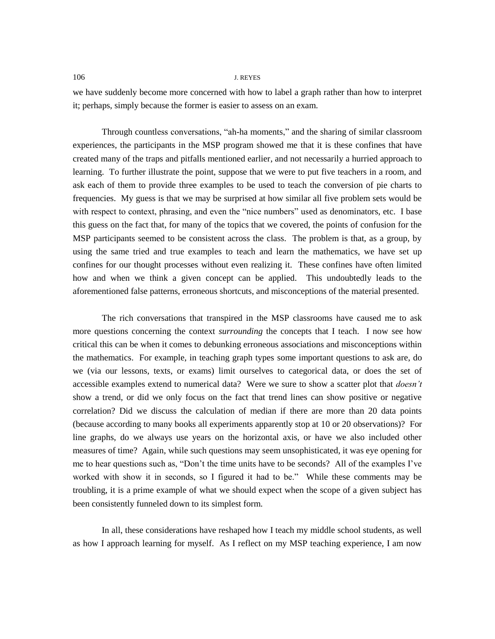we have suddenly become more concerned with how to label a graph rather than how to interpret it; perhaps, simply because the former is easier to assess on an exam.

Through countless conversations, "ah-ha moments," and the sharing of similar classroom experiences, the participants in the MSP program showed me that it is these confines that have created many of the traps and pitfalls mentioned earlier, and not necessarily a hurried approach to learning. To further illustrate the point, suppose that we were to put five teachers in a room, and ask each of them to provide three examples to be used to teach the conversion of pie charts to frequencies. My guess is that we may be surprised at how similar all five problem sets would be with respect to context, phrasing, and even the "nice numbers" used as denominators, etc. I base this guess on the fact that, for many of the topics that we covered, the points of confusion for the MSP participants seemed to be consistent across the class. The problem is that, as a group, by using the same tried and true examples to teach and learn the mathematics, we have set up confines for our thought processes without even realizing it. These confines have often limited how and when we think a given concept can be applied. This undoubtedly leads to the aforementioned false patterns, erroneous shortcuts, and misconceptions of the material presented.

The rich conversations that transpired in the MSP classrooms have caused me to ask more questions concerning the context *surrounding* the concepts that I teach. I now see how critical this can be when it comes to debunking erroneous associations and misconceptions within the mathematics. For example, in teaching graph types some important questions to ask are, do we (via our lessons, texts, or exams) limit ourselves to categorical data, or does the set of accessible examples extend to numerical data? Were we sure to show a scatter plot that *doesn"t* show a trend, or did we only focus on the fact that trend lines can show positive or negative correlation? Did we discuss the calculation of median if there are more than 20 data points (because according to many books all experiments apparently stop at 10 or 20 observations)? For line graphs, do we always use years on the horizontal axis, or have we also included other measures of time? Again, while such questions may seem unsophisticated, it was eye opening for me to hear questions such as, "Don't the time units have to be seconds? All of the examples I've worked with show it in seconds, so I figured it had to be." While these comments may be troubling, it is a prime example of what we should expect when the scope of a given subject has been consistently funneled down to its simplest form.

In all, these considerations have reshaped how I teach my middle school students, as well as how I approach learning for myself. As I reflect on my MSP teaching experience, I am now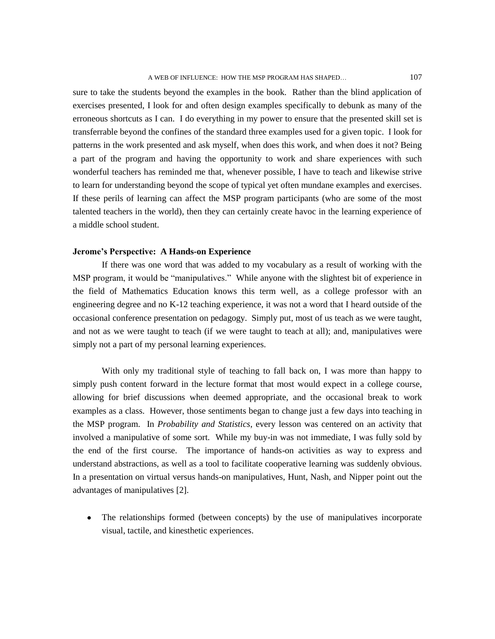sure to take the students beyond the examples in the book. Rather than the blind application of exercises presented, I look for and often design examples specifically to debunk as many of the erroneous shortcuts as I can. I do everything in my power to ensure that the presented skill set is transferrable beyond the confines of the standard three examples used for a given topic. I look for patterns in the work presented and ask myself, when does this work, and when does it not? Being a part of the program and having the opportunity to work and share experiences with such wonderful teachers has reminded me that, whenever possible, I have to teach and likewise strive to learn for understanding beyond the scope of typical yet often mundane examples and exercises. If these perils of learning can affect the MSP program participants (who are some of the most talented teachers in the world), then they can certainly create havoc in the learning experience of a middle school student.

#### **Jerome's Perspective: A Hands-on Experience**

If there was one word that was added to my vocabulary as a result of working with the MSP program, it would be "manipulatives." While anyone with the slightest bit of experience in the field of Mathematics Education knows this term well, as a college professor with an engineering degree and no K-12 teaching experience, it was not a word that I heard outside of the occasional conference presentation on pedagogy. Simply put, most of us teach as we were taught, and not as we were taught to teach (if we were taught to teach at all); and, manipulatives were simply not a part of my personal learning experiences.

With only my traditional style of teaching to fall back on, I was more than happy to simply push content forward in the lecture format that most would expect in a college course, allowing for brief discussions when deemed appropriate, and the occasional break to work examples as a class. However, those sentiments began to change just a few days into teaching in the MSP program. In *Probability and Statistics*, every lesson was centered on an activity that involved a manipulative of some sort. While my buy-in was not immediate, I was fully sold by the end of the first course. The importance of hands-on activities as way to express and understand abstractions, as well as a tool to facilitate cooperative learning was suddenly obvious. In a presentation on virtual versus hands-on manipulatives, Hunt, Nash, and Nipper point out the advantages of manipulatives [2].

The relationships formed (between concepts) by the use of manipulatives incorporate visual, tactile, and kinesthetic experiences.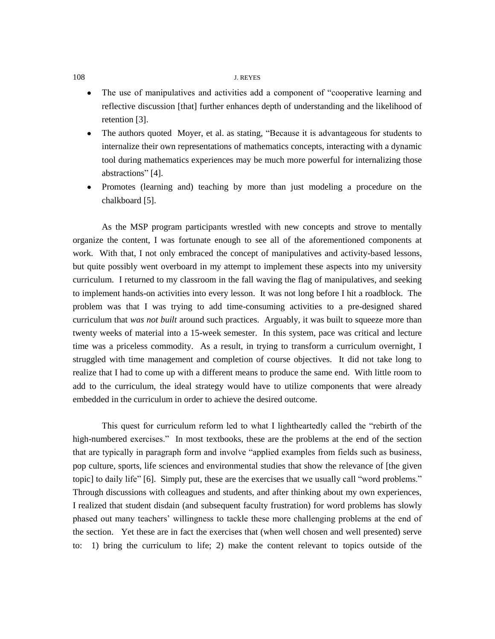- The use of manipulatives and activities add a component of "cooperative learning and  $\bullet$ reflective discussion [that] further enhances depth of understanding and the likelihood of retention [3].
- The authors quoted Moyer, et al. as stating, "Because it is advantageous for students to internalize their own representations of mathematics concepts, interacting with a dynamic tool during mathematics experiences may be much more powerful for internalizing those abstractions" [4].
- Promotes (learning and) teaching by more than just modeling a procedure on the chalkboard [5].

As the MSP program participants wrestled with new concepts and strove to mentally organize the content, I was fortunate enough to see all of the aforementioned components at work. With that, I not only embraced the concept of manipulatives and activity-based lessons, but quite possibly went overboard in my attempt to implement these aspects into my university curriculum. I returned to my classroom in the fall waving the flag of manipulatives, and seeking to implement hands-on activities into every lesson. It was not long before I hit a roadblock. The problem was that I was trying to add time-consuming activities to a pre-designed shared curriculum that *was not built* around such practices. Arguably, it was built to squeeze more than twenty weeks of material into a 15-week semester. In this system, pace was critical and lecture time was a priceless commodity. As a result, in trying to transform a curriculum overnight, I struggled with time management and completion of course objectives. It did not take long to realize that I had to come up with a different means to produce the same end. With little room to add to the curriculum, the ideal strategy would have to utilize components that were already embedded in the curriculum in order to achieve the desired outcome.

This quest for curriculum reform led to what I lightheartedly called the "rebirth of the high-numbered exercises." In most textbooks, these are the problems at the end of the section that are typically in paragraph form and involve "applied examples from fields such as business, pop culture, sports, life sciences and environmental studies that show the relevance of [the given topic] to daily life" [6]. Simply put, these are the exercises that we usually call "word problems." Through discussions with colleagues and students, and after thinking about my own experiences, I realized that student disdain (and subsequent faculty frustration) for word problems has slowly phased out many teachers' willingness to tackle these more challenging problems at the end of the section. Yet these are in fact the exercises that (when well chosen and well presented) serve to: 1) bring the curriculum to life; 2) make the content relevant to topics outside of the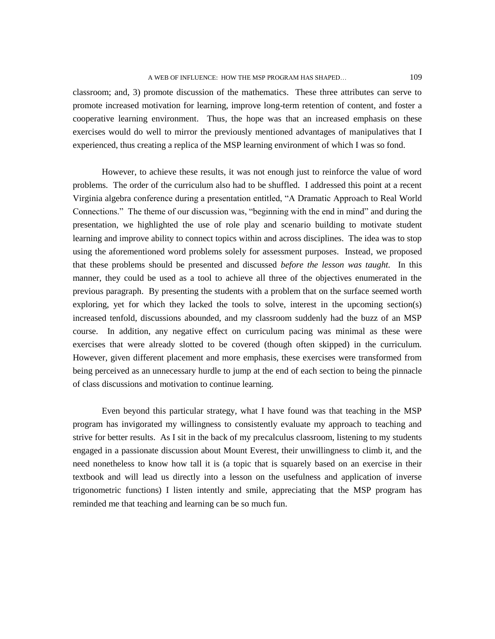classroom; and, 3) promote discussion of the mathematics. These three attributes can serve to promote increased motivation for learning, improve long-term retention of content, and foster a cooperative learning environment. Thus, the hope was that an increased emphasis on these exercises would do well to mirror the previously mentioned advantages of manipulatives that I experienced, thus creating a replica of the MSP learning environment of which I was so fond.

However, to achieve these results, it was not enough just to reinforce the value of word problems. The order of the curriculum also had to be shuffled. I addressed this point at a recent Virginia algebra conference during a presentation entitled, "A Dramatic Approach to Real World Connections." The theme of our discussion was, "beginning with the end in mind" and during the presentation, we highlighted the use of role play and scenario building to motivate student learning and improve ability to connect topics within and across disciplines. The idea was to stop using the aforementioned word problems solely for assessment purposes. Instead, we proposed that these problems should be presented and discussed *before the lesson was taught.* In this manner, they could be used as a tool to achieve all three of the objectives enumerated in the previous paragraph. By presenting the students with a problem that on the surface seemed worth exploring, yet for which they lacked the tools to solve, interest in the upcoming section(s) increased tenfold, discussions abounded, and my classroom suddenly had the buzz of an MSP course. In addition, any negative effect on curriculum pacing was minimal as these were exercises that were already slotted to be covered (though often skipped) in the curriculum. However, given different placement and more emphasis, these exercises were transformed from being perceived as an unnecessary hurdle to jump at the end of each section to being the pinnacle of class discussions and motivation to continue learning.

Even beyond this particular strategy, what I have found was that teaching in the MSP program has invigorated my willingness to consistently evaluate my approach to teaching and strive for better results. As I sit in the back of my precalculus classroom, listening to my students engaged in a passionate discussion about Mount Everest, their unwillingness to climb it, and the need nonetheless to know how tall it is (a topic that is squarely based on an exercise in their textbook and will lead us directly into a lesson on the usefulness and application of inverse trigonometric functions) I listen intently and smile, appreciating that the MSP program has reminded me that teaching and learning can be so much fun.